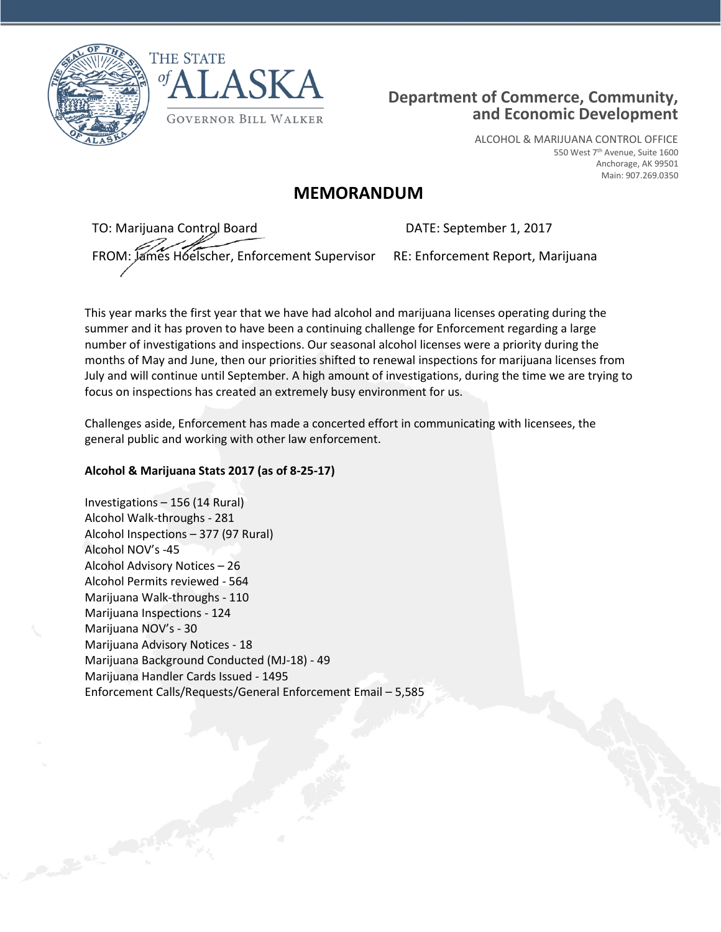



## **Department of Commerce, Community, and Economic Development**

ALCOHOL & MARIJUANA CONTROL OFFICE 550 West 7<sup>th</sup> Avenue, Suite 1600 Anchorage, AK 99501 Main: 907.269.0350

## **MEMORANDUM**

TO: Marijuana Control Board FROM: James Hoelscher, Enforcement Supervisor

DATE: September 1, 2017

RE: Enforcement Report, Marijuana

This year marks the first year that we have had alcohol and marijuana licenses operating during the summer and it has proven to have been a continuing challenge for Enforcement regarding a large number of investigations and inspections. Our seasonal alcohol licenses were a priority during the months of May and June, then our priorities shifted to renewal inspections for marijuana licenses from July and will continue until September. A high amount of investigations, during the time we are trying to focus on inspections has created an extremely busy environment for us.

Challenges aside, Enforcement has made a concerted effort in communicating with licensees, the general public and working with other law enforcement.

## **Alcohol & Marijuana Stats 2017 (as of 8-25-17)**

Investigations – 156 (14 Rural) Alcohol Walk-throughs - 281 Alcohol Inspections – 377 (97 Rural) Alcohol NOV's -45 Alcohol Advisory Notices – 26 Alcohol Permits reviewed - 564 Marijuana Walk-throughs - 110 Marijuana Inspections - 124 Marijuana NOV's - 30 Marijuana Advisory Notices - 18 Marijuana Background Conducted (MJ-18) - 49 Marijuana Handler Cards Issued - 1495 Enforcement Calls/Requests/General Enforcement Email – 5,585